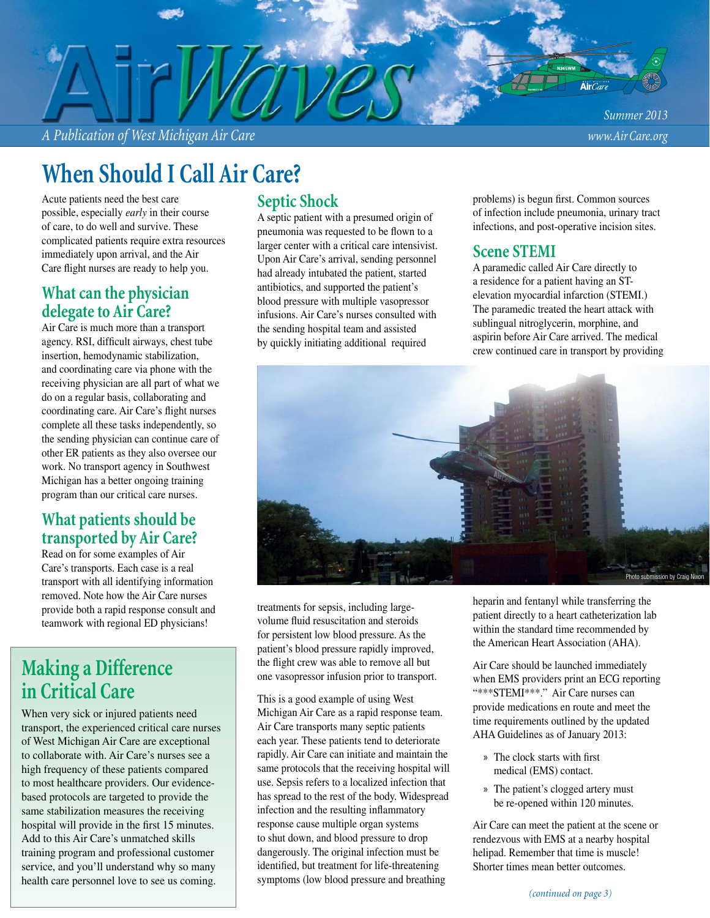*A Publication of West Michigan Air Care www.Air Care.org*

# **When Should I Call Air Care?**

Acute patients need the best care possible, especially *early* in their course of care, to do well and survive. These complicated patients require extra resources immediately upon arrival, and the Air Care flight nurses are ready to help you.

#### **What can the physician delegate to Air Care?**

Air Care is much more than a transport agency. RSI, difficult airways, chest tube insertion, hemodynamic stabilization, and coordinating care via phone with the receiving physician are all part of what we do on a regular basis, collaborating and coordinating care. Air Care's flight nurses complete all these tasks independently, so the sending physician can continue care of other ER patients as they also oversee our work. No transport agency in Southwest Michigan has a better ongoing training program than our critical care nurses.

#### **What patients should be transported by Air Care?**

Read on for some examples of Air Care's transports. Each case is a real transport with all identifying information removed. Note how the Air Care nurses provide both a rapid response consult and teamwork with regional ED physicians!

### **Making a Difference in Critical Care**

When very sick or injured patients need transport, the experienced critical care nurses of West Michigan Air Care are exceptional to collaborate with. Air Care's nurses see a high frequency of these patients compared to most healthcare providers. Our evidencebased protocols are targeted to provide the same stabilization measures the receiving hospital will provide in the first 15 minutes. Add to this Air Care's unmatched skills training program and professional customer service, and you'll understand why so many health care personnel love to see us coming.

### **Septic Shock**

A septic patient with a presumed origin of pneumonia was requested to be flown to a larger center with a critical care intensivist. Upon Air Care's arrival, sending personnel had already intubated the patient, started antibiotics, and supported the patient's blood pressure with multiple vasopressor infusions. Air Care's nurses consulted with the sending hospital team and assisted by quickly initiating additional required

problems) is begun first. Common sources of infection include pneumonia, urinary tract infections, and post-operative incision sites.

#### **Scene STEMI**

A paramedic called Air Care directly to a residence for a patient having an STelevation myocardial infarction (STEMI.) The paramedic treated the heart attack with sublingual nitroglycerin, morphine, and aspirin before Air Care arrived. The medical crew continued care in transport by providing



treatments for sepsis, including largevolume fluid resuscitation and steroids for persistent low blood pressure. As the patient's blood pressure rapidly improved, the flight crew was able to remove all but one vasopressor infusion prior to transport.

This is a good example of using West Michigan Air Care as a rapid response team. Air Care transports many septic patients each year. These patients tend to deteriorate rapidly. Air Care can initiate and maintain the same protocols that the receiving hospital will use. Sepsis refers to a localized infection that has spread to the rest of the body. Widespread infection and the resulting inflammatory response cause multiple organ systems to shut down, and blood pressure to drop dangerously. The original infection must be identified, but treatment for life-threatening symptoms (low blood pressure and breathing

heparin and fentanyl while transferring the patient directly to a heart catheterization lab within the standard time recommended by the American Heart Association (AHA).

Air Care should be launched immediately when EMS providers print an ECG reporting "\*\*\*STEMI\*\*\*." Air Care nurses can provide medications en route and meet the time requirements outlined by the updated AHA Guidelines as of January 2013:

- » The clock starts with first medical (EMS) contact.
- » The patient's clogged artery must be re-opened within 120 minutes.

Air Care can meet the patient at the scene or rendezvous with EMS at a nearby hospital helipad. Remember that time is muscle! Shorter times mean better outcomes.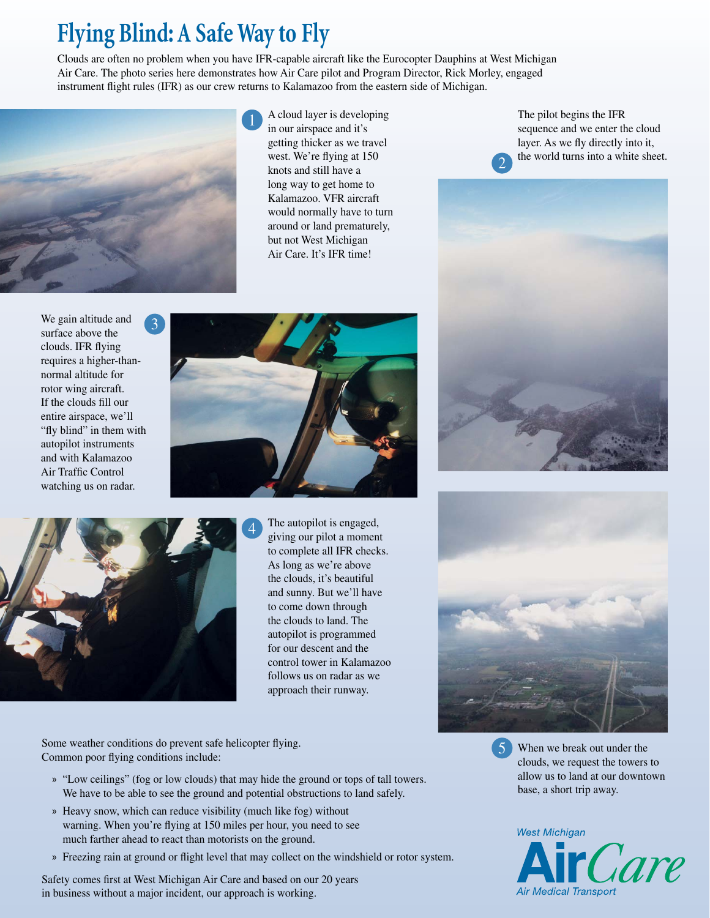# **Flying Blind: A Safe Way to Fly**

Clouds are often no problem when you have IFR-capable aircraft like the Eurocopter Dauphins at West Michigan Air Care. The photo series here demonstrates how Air Care pilot and Program Director, Rick Morley, engaged instrument flight rules (IFR) as our crew returns to Kalamazoo from the eastern side of Michigan.



A cloud layer is developing in our airspace and it's getting thicker as we travel west. We're flying at 150 knots and still have a long way to get home to Kalamazoo. VFR aircraft would normally have to turn around or land prematurely, but not West Michigan Air Care. It's IFR time!

The pilot begins the IFR sequence and we enter the cloud layer. As we fly directly into it, the world turns into a white sheet.









The autopilot is engaged, giving our pilot a moment to complete all IFR checks. As long as we're above the clouds, it's beautiful and sunny. But we'll have to come down through the clouds to land. The autopilot is programmed for our descent and the control tower in Kalamazoo follows us on radar as we approach their runway.

Some weather conditions do prevent safe helicopter flying. Common poor flying conditions include:

- » "Low ceilings" (fog or low clouds) that may hide the ground or tops of tall towers. We have to be able to see the ground and potential obstructions to land safely.
- » Heavy snow, which can reduce visibility (much like fog) without warning. When you're flying at 150 miles per hour, you need to see much farther ahead to react than motorists on the ground.
- » Freezing rain at ground or flight level that may collect on the windshield or rotor system.

Safety comes first at West Michigan Air Care and based on our 20 years in business without a major incident, our approach is working.



When we break out under the clouds, we request the towers to allow us to land at our downtown base, a short trip away. 5

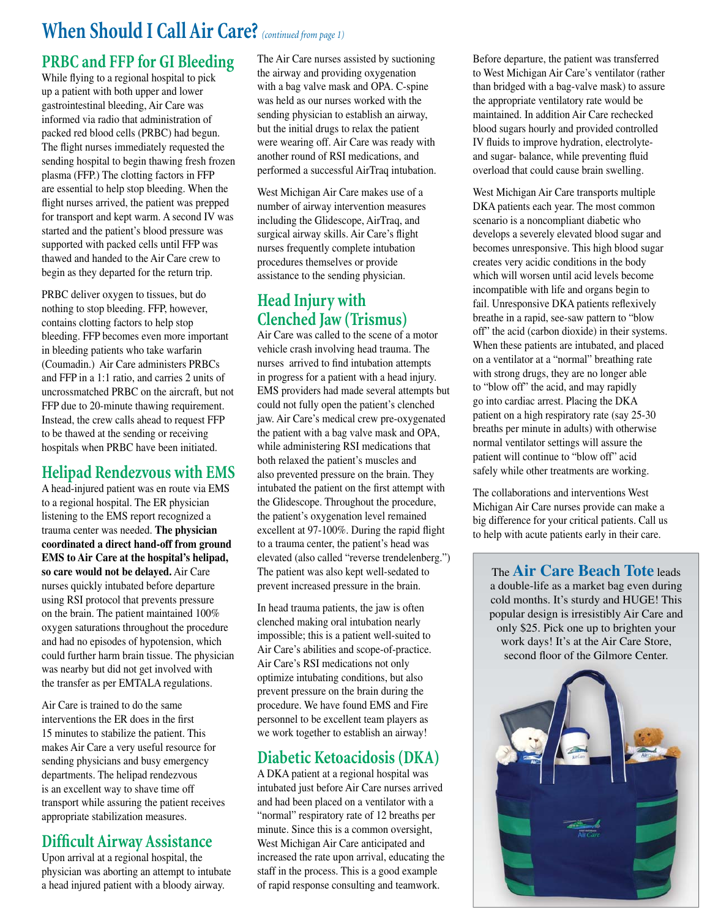## **When Should I Call Air Care?** *(continued from page 1)*

### **PRBC and FFP for GI Bleeding**

While flying to a regional hospital to pick up a patient with both upper and lower gastrointestinal bleeding, Air Care was informed via radio that administration of packed red blood cells (PRBC) had begun. The flight nurses immediately requested the sending hospital to begin thawing fresh frozen plasma (FFP.) The clotting factors in FFP are essential to help stop bleeding. When the flight nurses arrived, the patient was prepped for transport and kept warm. A second IV was started and the patient's blood pressure was supported with packed cells until FFP was thawed and handed to the Air Care crew to begin as they departed for the return trip.

PRBC deliver oxygen to tissues, but do nothing to stop bleeding. FFP, however, contains clotting factors to help stop bleeding. FFP becomes even more important in bleeding patients who take warfarin (Coumadin.) Air Care administers PRBCs and FFP in a 1:1 ratio, and carries 2 units of uncrossmatched PRBC on the aircraft, but not FFP due to 20-minute thawing requirement. Instead, the crew calls ahead to request FFP to be thawed at the sending or receiving hospitals when PRBC have been initiated.

### **Helipad Rendezvous with EMS**

A head-injured patient was en route via EMS to a regional hospital. The ER physician listening to the EMS report recognized a trauma center was needed. **The physician coordinated a direct hand-off from ground EMS to Air Care at the hospital's helipad, so care would not be delayed.** Air Care nurses quickly intubated before departure using RSI protocol that prevents pressure on the brain. The patient maintained 100% oxygen saturations throughout the procedure and had no episodes of hypotension, which could further harm brain tissue. The physician was nearby but did not get involved with the transfer as per EMTALA regulations.

Air Care is trained to do the same interventions the ER does in the first 15 minutes to stabilize the patient. This makes Air Care a very useful resource for sending physicians and busy emergency departments. The helipad rendezvous is an excellent way to shave time off transport while assuring the patient receives appropriate stabilization measures.

### **Difficult Airway Assistance**

Upon arrival at a regional hospital, the physician was aborting an attempt to intubate a head injured patient with a bloody airway.

The Air Care nurses assisted by suctioning the airway and providing oxygenation with a bag valve mask and OPA. C-spine was held as our nurses worked with the sending physician to establish an airway, but the initial drugs to relax the patient were wearing off. Air Care was ready with another round of RSI medications, and performed a successful AirTraq intubation.

West Michigan Air Care makes use of a number of airway intervention measures including the Glidescope, AirTraq, and surgical airway skills. Air Care's flight nurses frequently complete intubation procedures themselves or provide assistance to the sending physician.

### **Head Injury with Clenched Jaw (Trismus)**

Air Care was called to the scene of a motor vehicle crash involving head trauma. The nurses arrived to find intubation attempts in progress for a patient with a head injury. EMS providers had made several attempts but could not fully open the patient's clenched jaw. Air Care's medical crew pre-oxygenated the patient with a bag valve mask and OPA, while administering RSI medications that both relaxed the patient's muscles and also prevented pressure on the brain. They intubated the patient on the first attempt with the Glidescope. Throughout the procedure, the patient's oxygenation level remained excellent at 97-100%. During the rapid flight to a trauma center, the patient's head was elevated (also called "reverse trendelenberg.") The patient was also kept well-sedated to prevent increased pressure in the brain.

In head trauma patients, the jaw is often clenched making oral intubation nearly impossible; this is a patient well-suited to Air Care's abilities and scope-of-practice. Air Care's RSI medications not only optimize intubating conditions, but also prevent pressure on the brain during the procedure. We have found EMS and Fire personnel to be excellent team players as we work together to establish an airway!

### **Diabetic Ketoacidosis (DKA)**

A DKA patient at a regional hospital was intubated just before Air Care nurses arrived and had been placed on a ventilator with a "normal" respiratory rate of 12 breaths per minute. Since this is a common oversight, West Michigan Air Care anticipated and increased the rate upon arrival, educating the staff in the process. This is a good example of rapid response consulting and teamwork.

Before departure, the patient was transferred to West Michigan Air Care's ventilator (rather than bridged with a bag-valve mask) to assure the appropriate ventilatory rate would be maintained. In addition Air Care rechecked blood sugars hourly and provided controlled IV fluids to improve hydration, electrolyteand sugar- balance, while preventing fluid overload that could cause brain swelling.

West Michigan Air Care transports multiple DKA patients each year. The most common scenario is a noncompliant diabetic who develops a severely elevated blood sugar and becomes unresponsive. This high blood sugar creates very acidic conditions in the body which will worsen until acid levels become incompatible with life and organs begin to fail. Unresponsive DKA patients reflexively breathe in a rapid, see-saw pattern to "blow off" the acid (carbon dioxide) in their systems. When these patients are intubated, and placed on a ventilator at a "normal" breathing rate with strong drugs, they are no longer able to "blow off" the acid, and may rapidly go into cardiac arrest. Placing the DKA patient on a high respiratory rate (say 25-30 breaths per minute in adults) with otherwise normal ventilator settings will assure the patient will continue to "blow off" acid safely while other treatments are working.

The collaborations and interventions West Michigan Air Care nurses provide can make a big difference for your critical patients. Call us to help with acute patients early in their care.

The **Air Care Beach Tote** leads a double-life as a market bag even during cold months. It's sturdy and HUGE! This popular design is irresistibly Air Care and only \$25. Pick one up to brighten your work days! It's at the Air Care Store, second floor of the Gilmore Center.